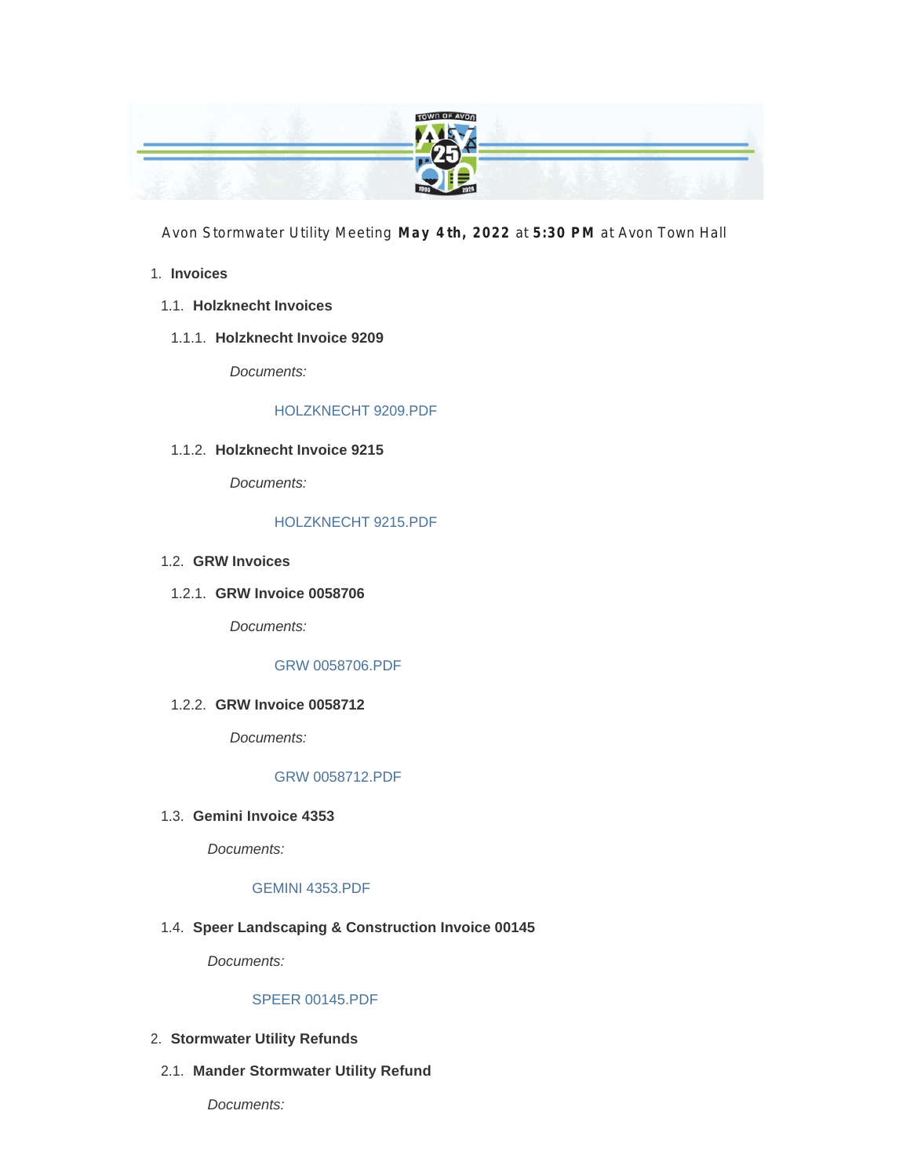

Avon Stormwater Utility Meeting **May 4 th, 2022** at **5:30 PM** at Avon Town Hall

#### **Invoices** 1.

- **Holzknecht Invoices** 1.1.
	- **Holzknecht Invoice 9209** 1.1.1.

*Documents:*

#### HOLZKNECHT 9209.PDF

#### **Holzknecht Invoice 9215** 1.1.2.

*Documents:*

#### HOLZKNECHT 9215.PDF

- **GRW Invoices** 1.2.
- **GRW Invoice 0058706** 1.2.1.

*Documents:*

#### GRW 0058706.PDF

#### **GRW Invoice 0058712** 1.2.2.

*Documents:*

#### GRW 0058712.PDF

**Gemini Invoice 4353** 1.3.

*Documents:*

#### GEMINI 4353.PDF

**Speer Landscaping & Construction Invoice 00145** 1.4.

*Documents:*

#### SPEER 00145.PDF

- **Stormwater Utility Refunds** 2.
	- **Mander Stormwater Utility Refund** 2.1.

*Documents:*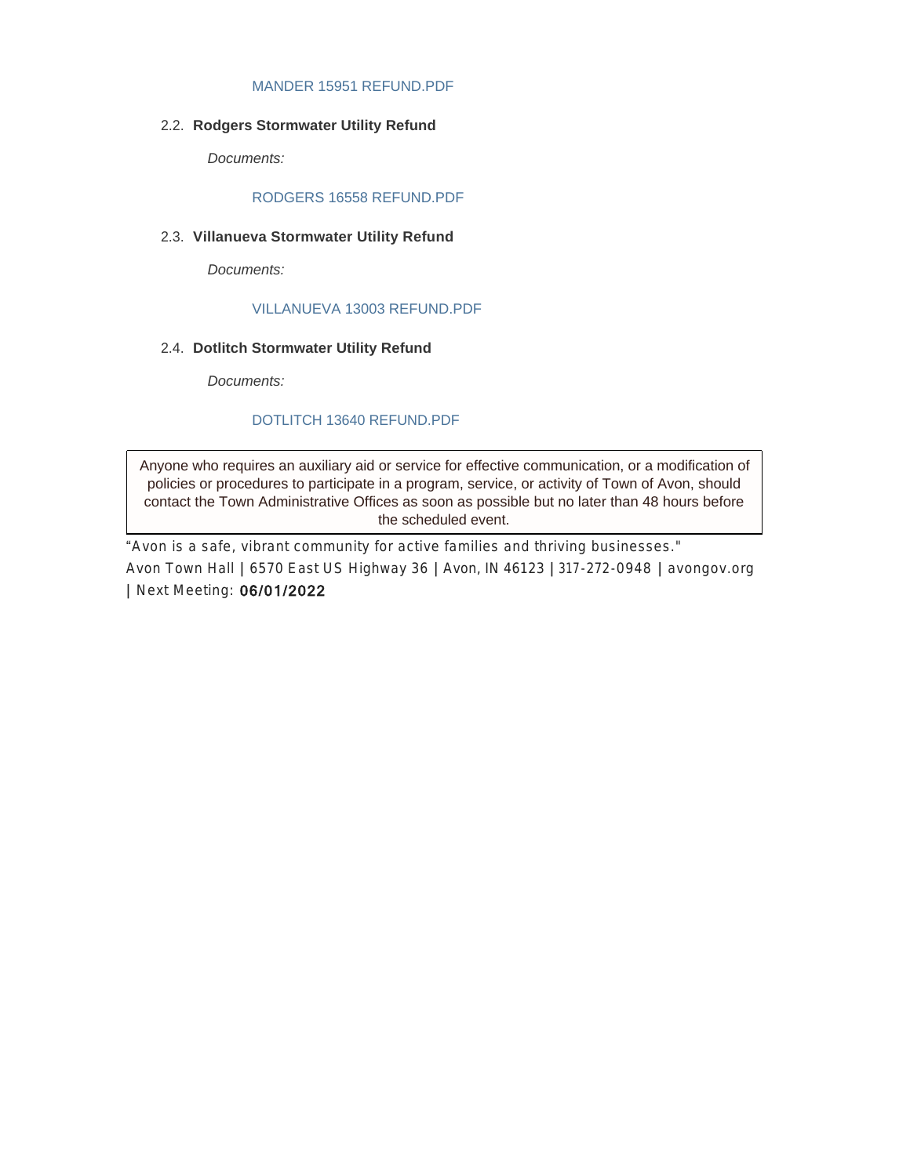#### MANDER 15951 REFUND.PDF

**Rodgers Stormwater Utility Refund** 2.2.

*Documents:*

#### RODGERS 16558 REFUND.PDF

**Villanueva Stormwater Utility Refund** 2.3.

*Documents:*

#### VILLANUEVA 13003 REFUND.PDF

**Dotlitch Stormwater Utility Refund** 2.4.

*Documents:*

#### DOTLITCH 13640 REFUND.PDF

Anyone who requires an auxiliary aid or service for effective communication, or a modification of policies or procedures to participate in a program, service, or activity of Town of Avon, should contact the Town Administrative Offices as soon as possible but no later than 48 hours before the scheduled event.

"*Avon is a safe, vibrant community for active families and thriving businesses."* Avon Town Hall **|** 6570 East US Highway 36 **|** Avon, IN 46123 **|** 317-272-0948 **|** avongov.org **|** Next Meeting: 06/01/2022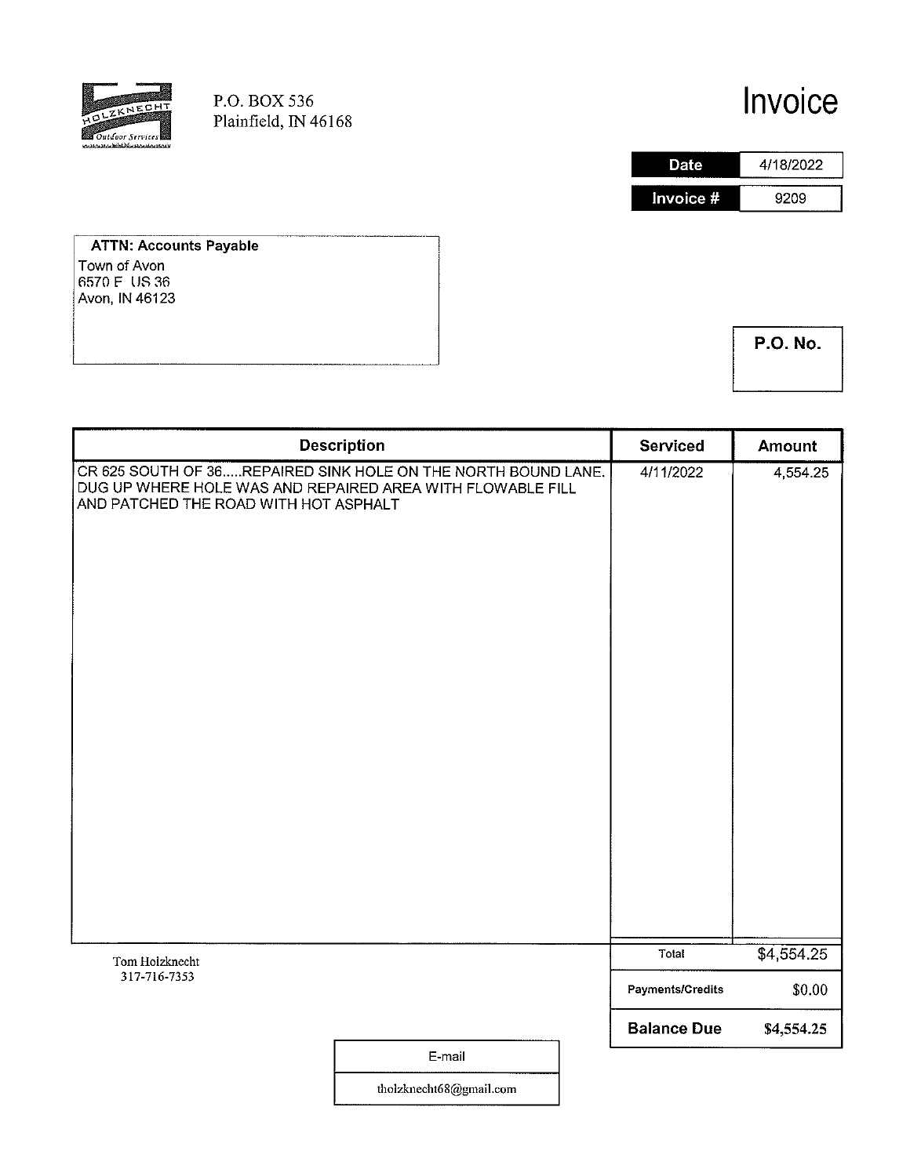

P.O. BOX 536 Plainfield, IN 46168

# Invoice



**ATTN: Accounts Payable** Town of Avon 6570 F US 36<br>Avon, IN 46123

**P.O. No.** 

|                                                                                                                                                                      | <b>Description</b> | Serviced                               | Amount               |
|----------------------------------------------------------------------------------------------------------------------------------------------------------------------|--------------------|----------------------------------------|----------------------|
| CR 625 SOUTH OF 36REPAIRED SINK HOLE ON THE NORTH BOUND LANE.<br>DUG UP WHERE HOLE WAS AND REPAIRED AREA WITH FLOWABLE FILL<br>AND PATCHED THE ROAD WITH HOT ASPHALT |                    | 4/11/2022                              | 4,554.25             |
| Tom Holzknecht                                                                                                                                                       |                    | Total                                  | \$4,554.25           |
| 317-716-7353                                                                                                                                                         |                    | Payments/Credits<br><b>Balance Due</b> | \$0.00<br>\$4,554.25 |
|                                                                                                                                                                      | E-mail             |                                        |                      |

tholzknecht68@gmail.com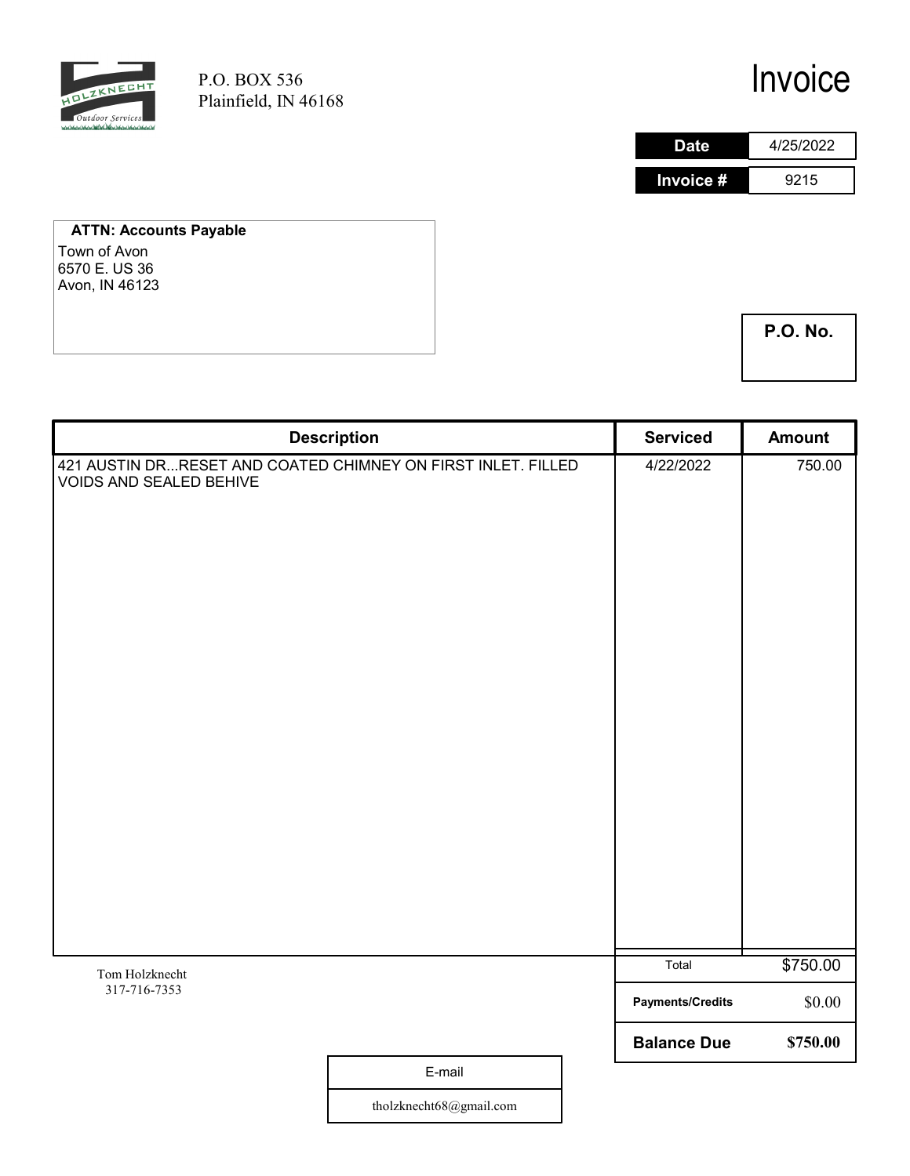

P.O. BOX 536 Plainfield, IN 46168

# Invoice

| Date      | 4/25/2022 |
|-----------|-----------|
| Invoice # | 9215      |

#### ATTN: Accounts Payable Town of Avon 6570 E. US 36

Avon, IN 46123

P.O. No.

|                                                                                                | <b>Description</b> | <b>Serviced</b>         | <b>Amount</b> |
|------------------------------------------------------------------------------------------------|--------------------|-------------------------|---------------|
| 421 AUSTIN DRRESET AND COATED CHIMNEY ON FIRST INLET. FILLED<br><b>VOIDS AND SEALED BEHIVE</b> |                    | 4/22/2022               | 750.00        |
|                                                                                                |                    | Total                   | \$750.00      |
| Tom Holzknecht<br>317-716-7353                                                                 |                    |                         |               |
|                                                                                                |                    | <b>Payments/Credits</b> | \$0.00        |
|                                                                                                |                    | <b>Balance Due</b>      | \$750.00      |
|                                                                                                | E-mail             |                         |               |

tholzknecht68@gmail.com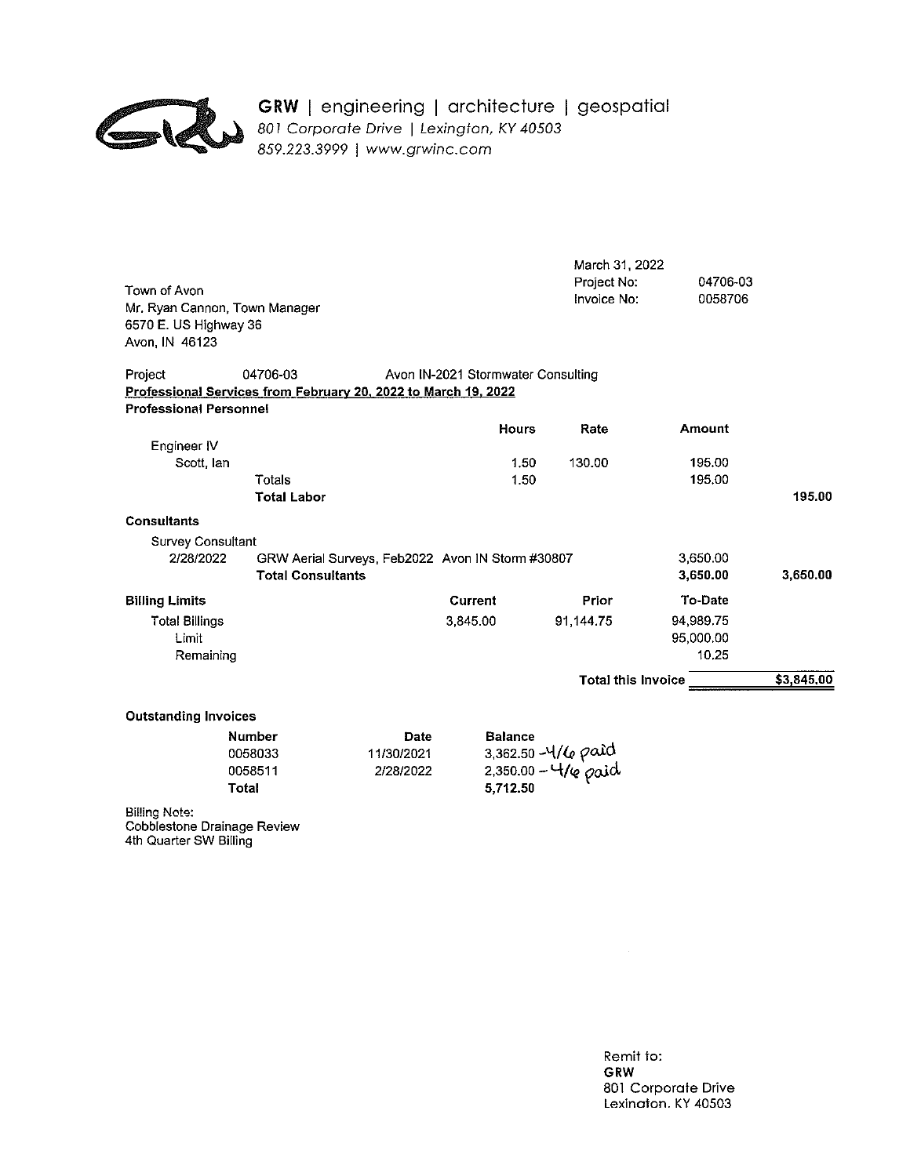

# GRW | engineering | architecture | geospatial<br>
801 Corporate Drive | Lexington, KY 40503<br>
859.223.3999 | www.grwinc.com

| Town of Avon<br>Mr. Ryan Cannon, Town Manager<br>6570 E. US Highway 36<br>Avon, IN 46123                                     |                                                                              |                                        |                                    | March 31, 2022<br>Project No:<br>Invoice No: | 04706-03<br>0058706             |            |
|------------------------------------------------------------------------------------------------------------------------------|------------------------------------------------------------------------------|----------------------------------------|------------------------------------|----------------------------------------------|---------------------------------|------------|
| Project<br>Professional Services from February 20, 2022 to March 19, 2022<br><b>Professional Personnel</b>                   | 04706-03                                                                     |                                        | Avon IN-2021 Stormwater Consulting |                                              |                                 |            |
|                                                                                                                              |                                                                              |                                        | <b>Hours</b>                       | Rate                                         | Amount                          |            |
| Engineer IV<br>Scott, lan                                                                                                    | Totals<br><b>Total Labor</b>                                                 |                                        | 1.50<br>1.50                       | 130.00                                       | 195.00<br>195.00                | 195.00     |
| <b>Consultants</b>                                                                                                           |                                                                              |                                        |                                    |                                              |                                 |            |
| Survey Consultant<br>2/28/2022                                                                                               | GRW Aerial Surveys, Feb2022 Avon IN Storm #30807<br><b>Total Consultants</b> |                                        |                                    |                                              | 3,650.00<br>3,650.00            | 3,650,00   |
| <b>Billing Limits</b>                                                                                                        |                                                                              |                                        | Current                            | Prior                                        | To-Date                         |            |
| <b>Total Billings</b><br>Limit<br>Remaining                                                                                  |                                                                              |                                        | 3,845.00                           | 91,144.75                                    | 94,989.75<br>95,000.00<br>10.25 |            |
|                                                                                                                              |                                                                              |                                        |                                    | <b>Total this Invoice</b>                    |                                 | \$3,845.00 |
| <b>Outstanding Invoices</b><br><b>Total</b><br>Billing Note:<br><b>Cobblestone Drainage Review</b><br>4th Quarter SW Billing | <b>Number</b><br>0058033<br>0058511                                          | <b>Date</b><br>11/30/2021<br>2/28/2022 | <b>Balance</b><br>5,712.50         | 3,362.50 -4/6 paid<br>2,350.00 - 4/6 paid    |                                 |            |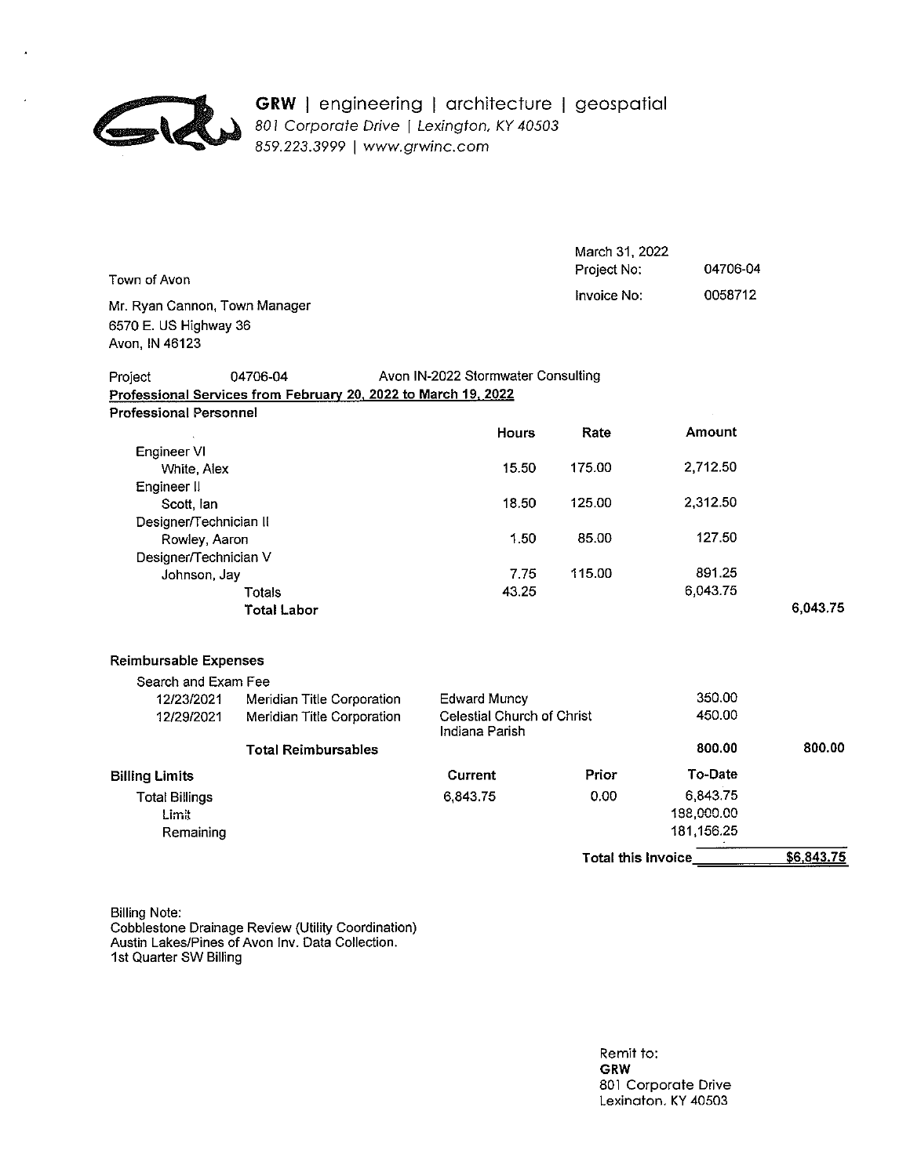

#### GRW | engineering | architecture | geospatial 801 Corporate Drive | Lexington, KY 40503 859.223.3999 | www.grwinc.com

| Town of Avon                                                   |                                              | March 31, 2022<br>Project No: | 04706-04   |            |
|----------------------------------------------------------------|----------------------------------------------|-------------------------------|------------|------------|
| Mr. Ryan Cannon, Town Manager<br>6570 E. US Highway 36         |                                              | Invoice No:                   | 0058712    |            |
| Avon, IN 46123                                                 |                                              |                               |            |            |
| 04706-04<br>Project                                            | Avon IN-2022 Stormwater Consulting           |                               |            |            |
| Professional Services from February 20, 2022 to March 19, 2022 |                                              |                               |            |            |
| <b>Professional Personnel</b>                                  |                                              |                               |            |            |
|                                                                | <b>Hours</b>                                 | Rate                          | Amount     |            |
| Engineer VI                                                    |                                              |                               |            |            |
| White, Alex                                                    | 15.50                                        | 175.00                        | 2,712.50   |            |
| Engineer II                                                    |                                              | 125.00                        | 2,312.50   |            |
| Scott, lan<br>Designer/Technician II                           | 18.50                                        |                               |            |            |
| Rowley, Aaron                                                  | 1.50                                         | 85.00                         | 127.50     |            |
| Designer/Technician V                                          |                                              |                               |            |            |
| Johnson, Jay                                                   | 7.75                                         | 115.00                        | 891.25     |            |
| Totals                                                         | 43.25                                        |                               | 6,043.75   |            |
| <b>Total Labor</b>                                             |                                              |                               |            | 6,043.75   |
| <b>Reimbursable Expenses</b>                                   |                                              |                               |            |            |
| Search and Exam Fee                                            |                                              |                               |            |            |
| 12/23/2021<br>Meridian Title Corporation                       | <b>Edward Muncy</b>                          |                               | 350.00     |            |
| Meridian Title Corporation<br>12/29/2021                       | Celestial Church of Christ<br>Indiana Parish |                               | 450.00     |            |
| <b>Total Reimbursables</b>                                     |                                              |                               | 800.00     | 800.00     |
| <b>Billing Limits</b>                                          | Current                                      | Prior                         | To-Date    |            |
| <b>Total Billings</b>                                          | 6,843.75                                     | 0.00                          | 6,843.75   |            |
| Limit                                                          |                                              |                               | 188,000.00 |            |
| Remaining                                                      |                                              |                               | 181,156.25 |            |
|                                                                |                                              | Total this Invoice            |            | \$6,843.75 |

**Billing Note:** Cobblestone Drainage Review (Utility Coordination)<br>Austin Lakes/Pines of Avon Inv. Data Collection.<br>1st Quarter SW Billing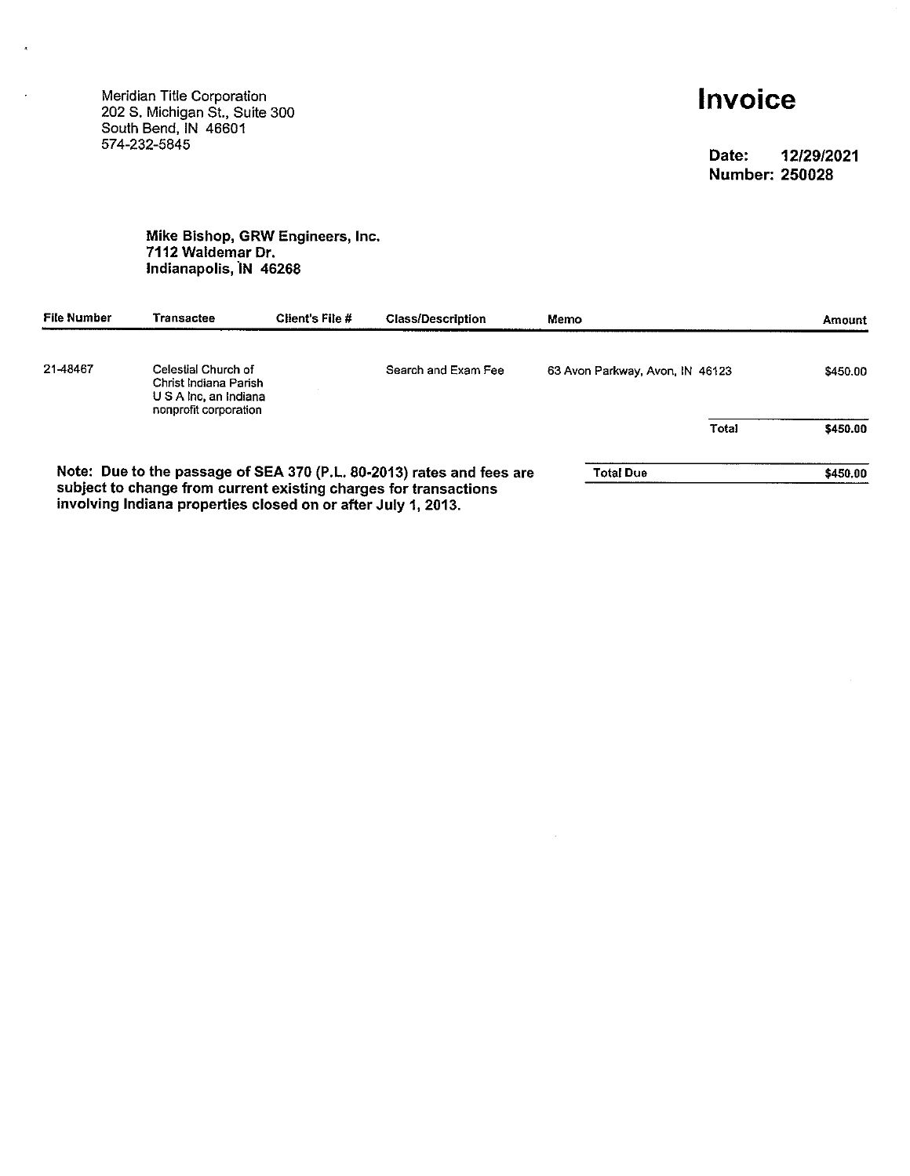Meridian Title Corporation<br>202 S. Michigan St., Suite 300<br>South Bend, IN 46601 574-232-5845

 $\tilde{\mathbf{z}}$ 

# Invoice

Date: 12/29/2021 **Number: 250028** 

## Mike Bishop, GRW Engineers, Inc.<br>7112 Waldemar Dr. Indianapolis, IN 46268

| File Number | Transactee                                                                                                                        | Client's File # | <b>Class/Description</b>                                              | Memo                            |       | <b>Amount</b> |
|-------------|-----------------------------------------------------------------------------------------------------------------------------------|-----------------|-----------------------------------------------------------------------|---------------------------------|-------|---------------|
| 21-48467    | Celestial Church of<br>Christ Indiana Parish<br>U S A Inc. an Indiana<br>nonprofit corporation                                    |                 | Search and Exam Fee                                                   | 63 Avon Parkway, Avon, IN 46123 |       | \$450.00      |
|             |                                                                                                                                   |                 |                                                                       |                                 | Total | \$450.00      |
|             |                                                                                                                                   |                 | Note: Due to the passage of SEA 370 (P.L. 80-2013) rates and fees are | Total Due                       |       | \$450.00      |
|             | subject to change from current existing charges for transactions<br>involving Indiana properties closed on or after July 1, 2013. |                 |                                                                       |                                 |       |               |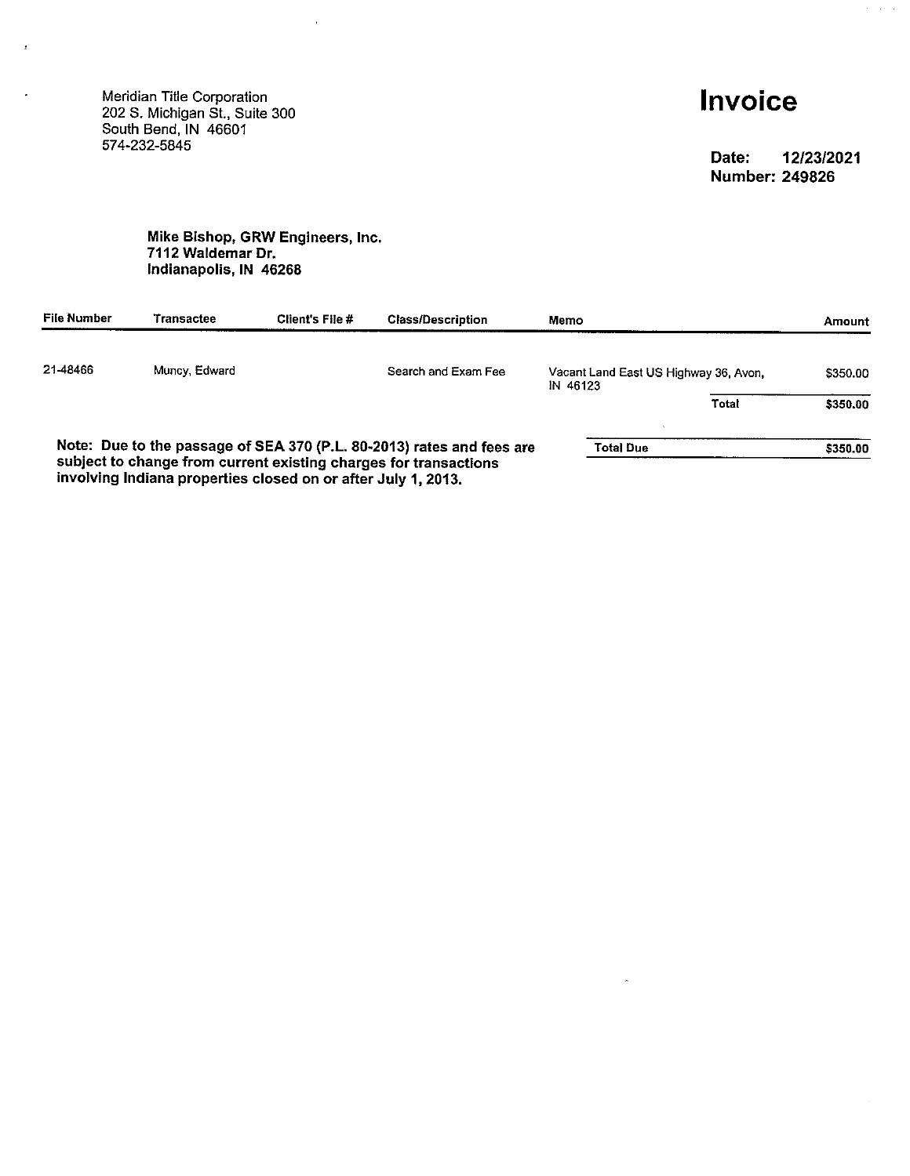Meridian Title Corporation<br>202 S. Michigan St., Suite 300<br>South Bend, IN 46601<br>574-232-5845

 $\epsilon$ 

l,

# Invoice

Date: 12/23/2021 **Number: 249826** 

 $\alpha = 1.5$  ,  $\alpha$ 

#### Mike Bishop, GRW Engineers, Inc. 7112 Waldemar Dr. Indianapolis, IN 46268

 $\bar{z}$ 

| File Number | l ransactee                                                   | Client's File # | <b>Class/Description</b>                                              | Memo     |                                       |       | <b>Amount</b> |
|-------------|---------------------------------------------------------------|-----------------|-----------------------------------------------------------------------|----------|---------------------------------------|-------|---------------|
| 21-48466    | Muncy, Edward                                                 |                 | Search and Exam Fee                                                   | IN 46123 | Vacant Land East US Highway 36, Avon. |       | \$350.00      |
|             |                                                               |                 |                                                                       |          |                                       | Total | \$350.00      |
|             |                                                               |                 | Note: Due to the passage of SEA 370 (P.L. 80-2013) rates and fees are |          | <b>Total Due</b>                      |       | \$350.00      |
|             | involving Indiana properties closed on or after July 1, 2013. |                 | subject to change from current existing charges for transactions      |          |                                       |       |               |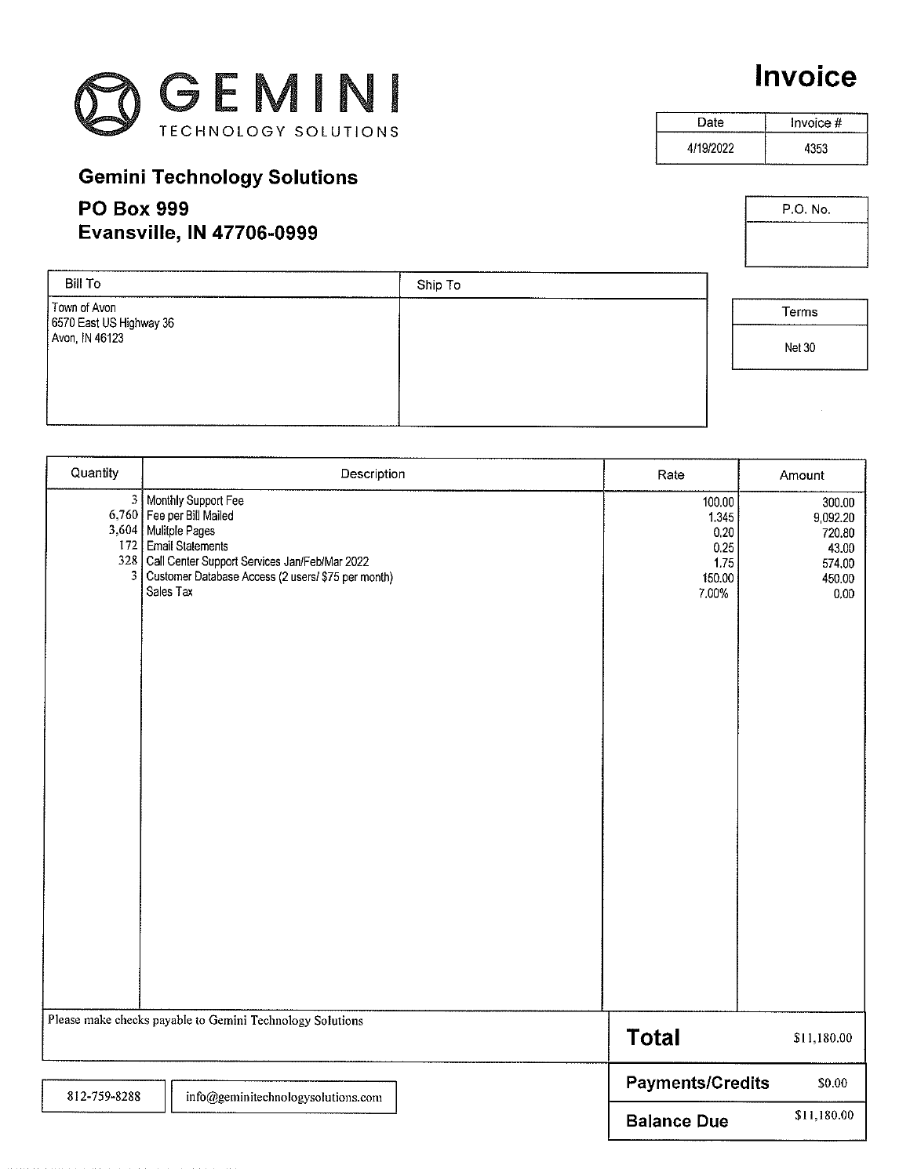

# Invoice

P.O. No.

Date Invoice  $#$ 4/19/2022 4353

## **Gemini Technology Solutions**

### **PO Box 999 Evansville, IN 47706-0999**

| Terms         |  |
|---------------|--|
| <b>Net 30</b> |  |
|               |  |

| Bill To                                 | Ship To |        |
|-----------------------------------------|---------|--------|
| Town of Avon<br>6570 East US Highway 36 |         | Terms  |
| Avon, IN 46123                          |         | Net 30 |
|                                         |         |        |
|                                         |         |        |

| Quantity     | Description                                                                                                                                                                                                                        | Rate                                                       | Amount                                                            |
|--------------|------------------------------------------------------------------------------------------------------------------------------------------------------------------------------------------------------------------------------------|------------------------------------------------------------|-------------------------------------------------------------------|
|              | 3   Monthly Support Fee<br>6,760   Fee per Bill Mailed<br>3,604 Mulitple Pages<br>172 Email Statements<br>328   Call Center Support Services Jan/Feb/Mar 2022<br>3 Customer Database Access (2 users/ \$75 per month)<br>Sales Tax | 100.00<br>1.345<br>0.20<br>0.25<br>1.75<br>150.00<br>7.00% | 300.00<br>9,092.20<br>720.80<br>43.00<br>574.00<br>450.00<br>0.00 |
|              | Please make checks payable to Gemini Technology Solutions                                                                                                                                                                          | <b>Total</b>                                               | \$11,180.00                                                       |
| 812-759-8288 | info@geminitechnologysolutions.com                                                                                                                                                                                                 | <b>Payments/Credits</b>                                    | \$0.00                                                            |
|              |                                                                                                                                                                                                                                    | <b>Balance Due</b>                                         | \$11,180.00                                                       |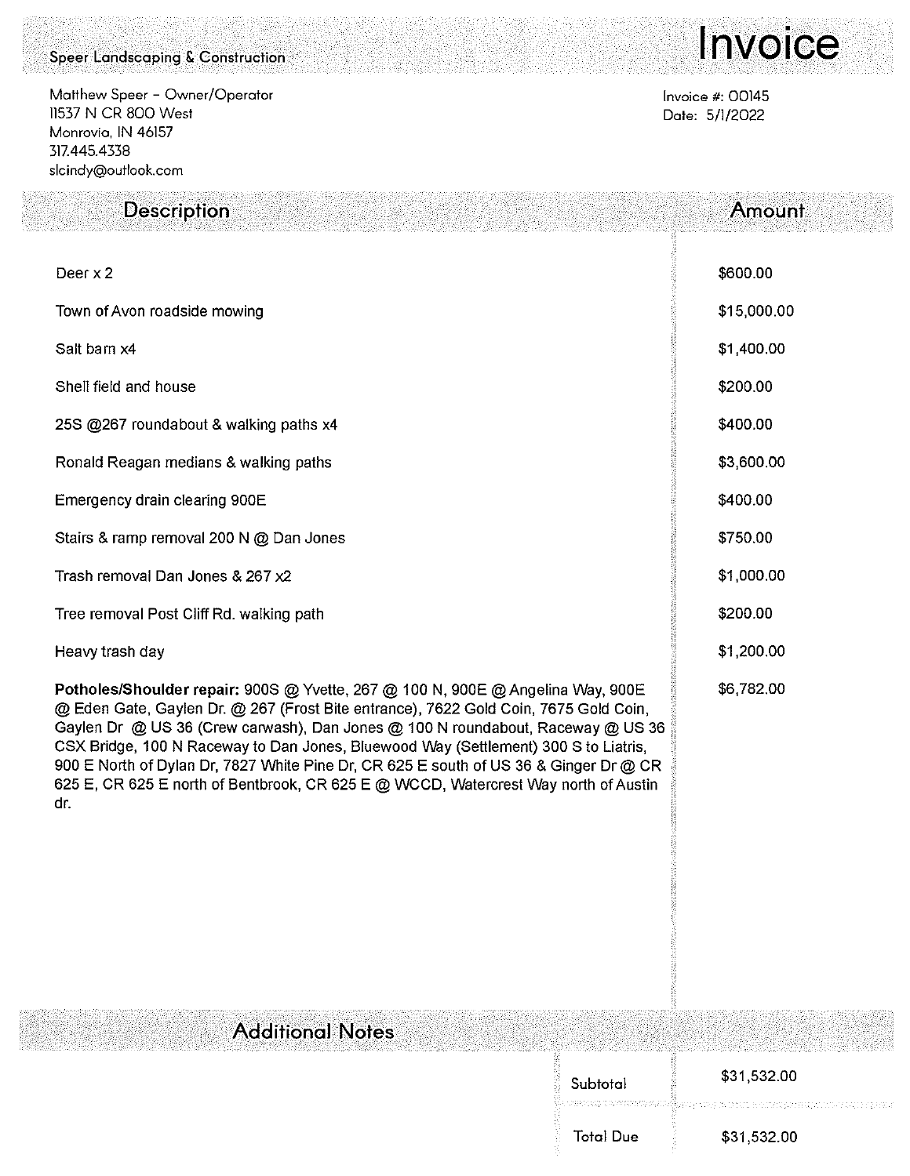#### Speer Landscaping & Construction

Matthew Speer - Owner/Operator 11537 N CR 800 West Monrovia, IN 46157 317.445.4338 slcindy@outlook.com

Description

# Invoice

Amount

Invoice #: 00145 Date: 5/1/2022

| Deer x 2                                                                                                                                                                                                                                                                                                                                                                                                                                                                                                                                 | \$600.00    |
|------------------------------------------------------------------------------------------------------------------------------------------------------------------------------------------------------------------------------------------------------------------------------------------------------------------------------------------------------------------------------------------------------------------------------------------------------------------------------------------------------------------------------------------|-------------|
| Town of Avon roadside mowing                                                                                                                                                                                                                                                                                                                                                                                                                                                                                                             | \$15,000.00 |
| Salt barn x4                                                                                                                                                                                                                                                                                                                                                                                                                                                                                                                             | \$1,400.00  |
| Shell field and house                                                                                                                                                                                                                                                                                                                                                                                                                                                                                                                    | \$200.00    |
| 25S @267 roundabout & walking paths x4                                                                                                                                                                                                                                                                                                                                                                                                                                                                                                   | \$400.00    |
| Ronald Reagan medians & walking paths                                                                                                                                                                                                                                                                                                                                                                                                                                                                                                    | \$3,600.00  |
| Emergency drain clearing 900E                                                                                                                                                                                                                                                                                                                                                                                                                                                                                                            | \$400.00    |
| Stairs & ramp removal 200 N @ Dan Jones                                                                                                                                                                                                                                                                                                                                                                                                                                                                                                  | \$750.00    |
| Trash removal Dan Jones & 267 x2                                                                                                                                                                                                                                                                                                                                                                                                                                                                                                         | \$1,000.00  |
| Tree removal Post Cliff Rd. walking path                                                                                                                                                                                                                                                                                                                                                                                                                                                                                                 | \$200.00    |
| Heavy trash day                                                                                                                                                                                                                                                                                                                                                                                                                                                                                                                          | \$1,200.00  |
| Potholes/Shoulder repair: 900S @ Yvette, 267 @ 100 N, 900E @ Angelina Way, 900E<br>@ Eden Gate, Gaylen Dr. @ 267 (Frost Bite entrance), 7622 Gold Coin, 7675 Gold Coin,<br>Gaylen Dr @ US 36 (Crew carwash), Dan Jones @ 100 N roundabout, Raceway @ US 36<br>CSX Bridge, 100 N Raceway to Dan Jones, Bluewood Way (Settlement) 300 S to Liatris,<br>900 E North of Dylan Dr, 7827 White Pine Dr, CR 625 E south of US 36 & Ginger Dr @ CR<br>625 E, CR 625 E north of Bentbrook, CR 625 E @ WCCD, Watercrest Way north of Austin<br>dr. | \$6,782.00  |

**Additional Notes** 

| Ş<br>Subtotal    | HT ' HT NAT LIKE ' TRA DIA HT OPER RADIAL ANTO ' OF THE OFFICE AND RADIAL ARRANGED TO A MORAL OF NEW ARREST ARE THE<br>\$31,532.00 |
|------------------|------------------------------------------------------------------------------------------------------------------------------------|
|                  |                                                                                                                                    |
| <b>Total Due</b> | \$31,532.00                                                                                                                        |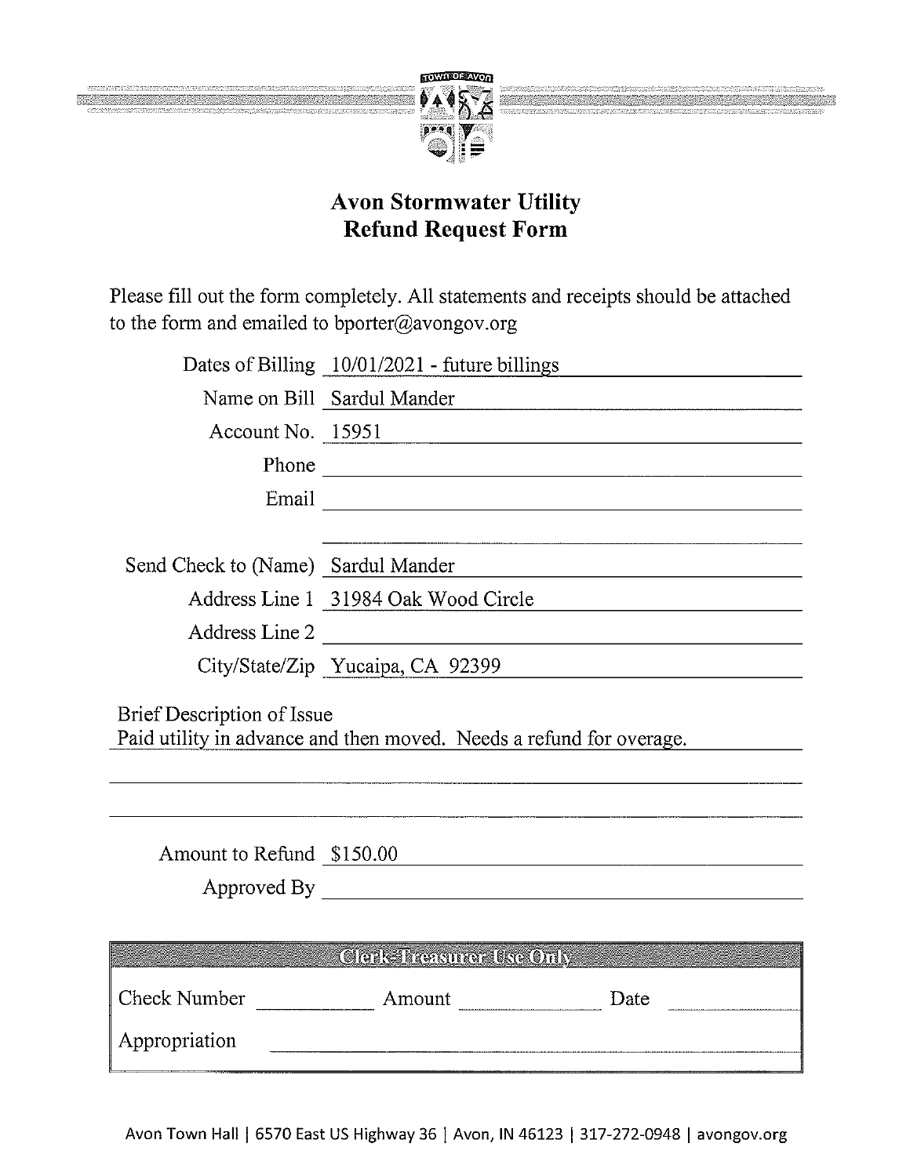

Please fill out the form completely. All statements and receipts should be attached to the form and emailed to bporter@avongov.org

|                                    | Dates of Billing 10/01/2021 - future billings                       |
|------------------------------------|---------------------------------------------------------------------|
|                                    | Name on Bill Sardul Mander                                          |
|                                    | Account No. 15951 2008                                              |
|                                    |                                                                     |
|                                    |                                                                     |
|                                    |                                                                     |
| Send Check to (Name) Sardul Mander |                                                                     |
|                                    | Address Line 1 31984 Oak Wood Circle                                |
| Address Line 2                     |                                                                     |
|                                    | City/State/Zip Yucaipa, CA 92399                                    |
| Brief Description of Issue         | Paid utility in advance and then moved. Needs a refund for overage. |
| Amount to Refund \$150.00          |                                                                     |
|                                    |                                                                     |
|                                    | <b>Clerk-Treasurer Use Only</b>                                     |
|                                    |                                                                     |
| Appropriation                      |                                                                     |
|                                    |                                                                     |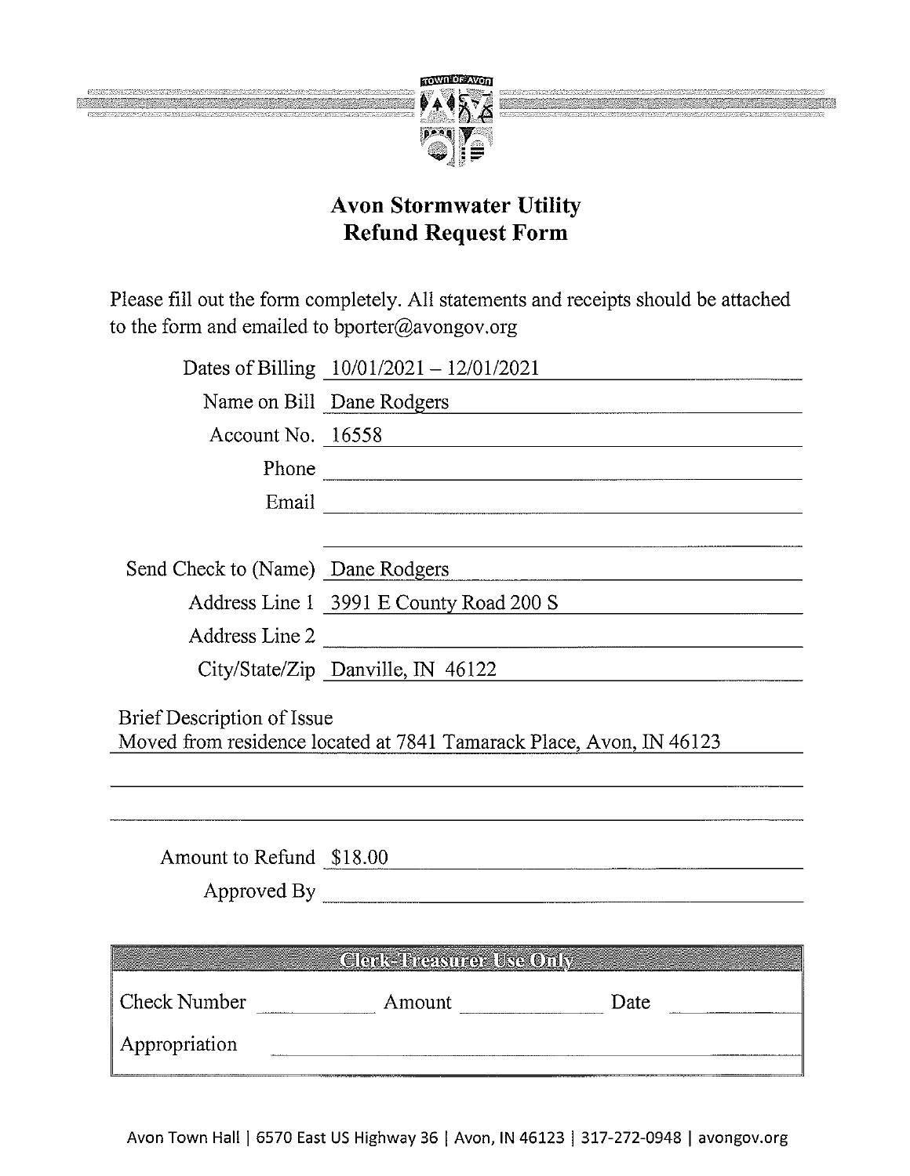

Please fill out the form completely. All statements and receipts should be attached to the form and emailed to bporter@avongov.org

|                                   | Dates of Billing $10/01/2021 - 12/01/2021$                          |
|-----------------------------------|---------------------------------------------------------------------|
|                                   | Name on Bill Dane Rodgers                                           |
|                                   | Account No. 16558                                                   |
|                                   | Phone                                                               |
|                                   |                                                                     |
|                                   |                                                                     |
| Send Check to (Name) Dane Rodgers |                                                                     |
|                                   | Address Line 1 3991 E County Road 200 S                             |
|                                   | Address Line 2                                                      |
|                                   | City/State/Zip Danville, IN 46122                                   |
| Brief Description of Issue        | Moved from residence located at 7841 Tamarack Place, Avon, IN 46123 |
|                                   |                                                                     |
| Amount to Refund \$18.00          |                                                                     |
|                                   |                                                                     |
|                                   | <b>Clerk-Treasurer Use Only</b>                                     |
|                                   | Date                                                                |
| Appropriation                     |                                                                     |
|                                   |                                                                     |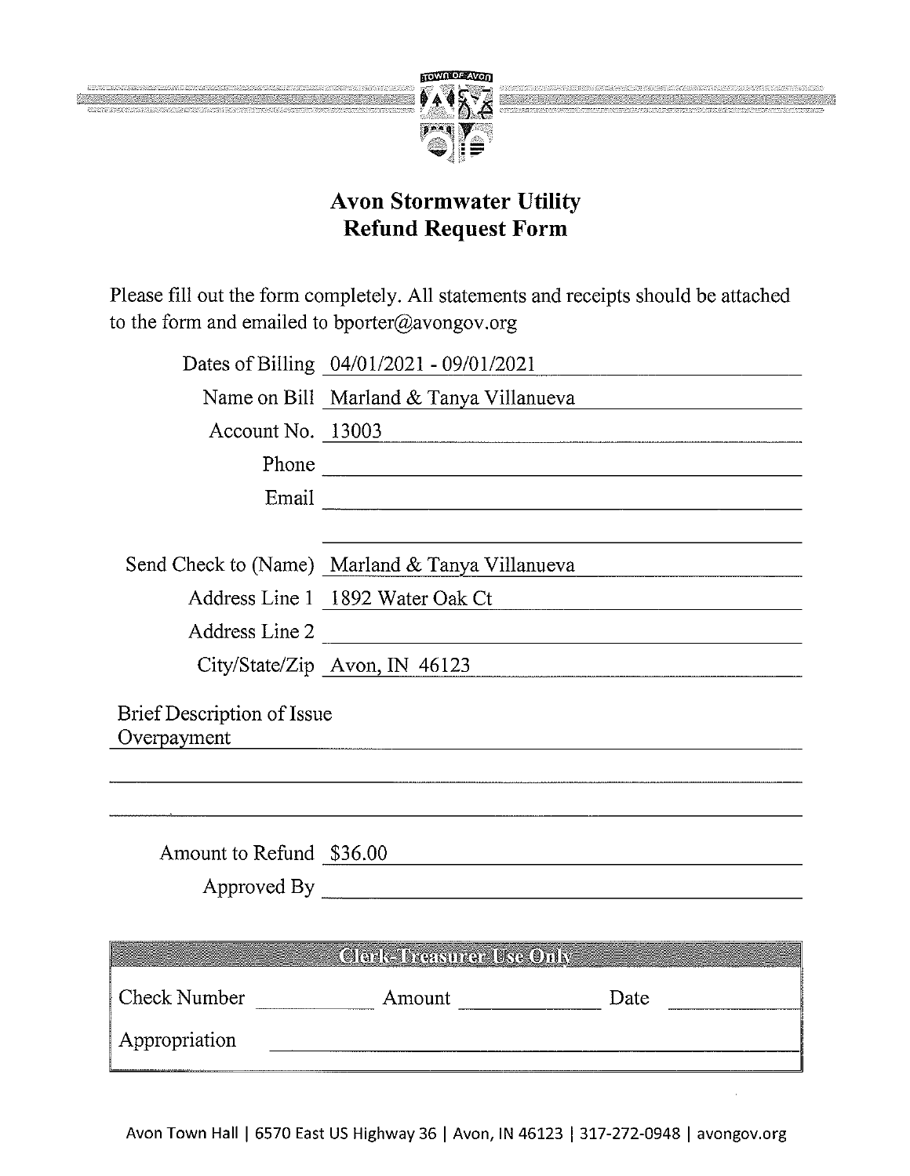

Please fill out the form completely. All statements and receipts should be attached to the form and emailed to bporter@avongov.org

|                                           | Dates of Billing 04/01/2021 - 09/01/2021                                                                             |      |
|-------------------------------------------|----------------------------------------------------------------------------------------------------------------------|------|
|                                           | Name on Bill Marland & Tanya Villanueva                                                                              |      |
|                                           | Account No. 13003                                                                                                    |      |
|                                           | Phone                                                                                                                |      |
|                                           |                                                                                                                      |      |
|                                           |                                                                                                                      |      |
|                                           | Send Check to (Name) Marland & Tanya Villanueva                                                                      |      |
|                                           | Address Line 1 1892 Water Oak Ct                                                                                     |      |
| Address Line 2                            | <u> 1989 - Johann John Stein, mars and de British and de British and de British and de British and de British an</u> |      |
|                                           | City/State/Zip Avon, IN 46123                                                                                        |      |
| Brief Description of Issue<br>Overpayment |                                                                                                                      |      |
|                                           |                                                                                                                      |      |
| Amount to Refund \$36.00                  |                                                                                                                      |      |
|                                           | Approved By <u>Approved By</u>                                                                                       |      |
|                                           |                                                                                                                      |      |
|                                           | <b>Clerk-Treasurer Use Only</b>                                                                                      |      |
| Check Number                              | Amount                                                                                                               | Date |

Appropriation